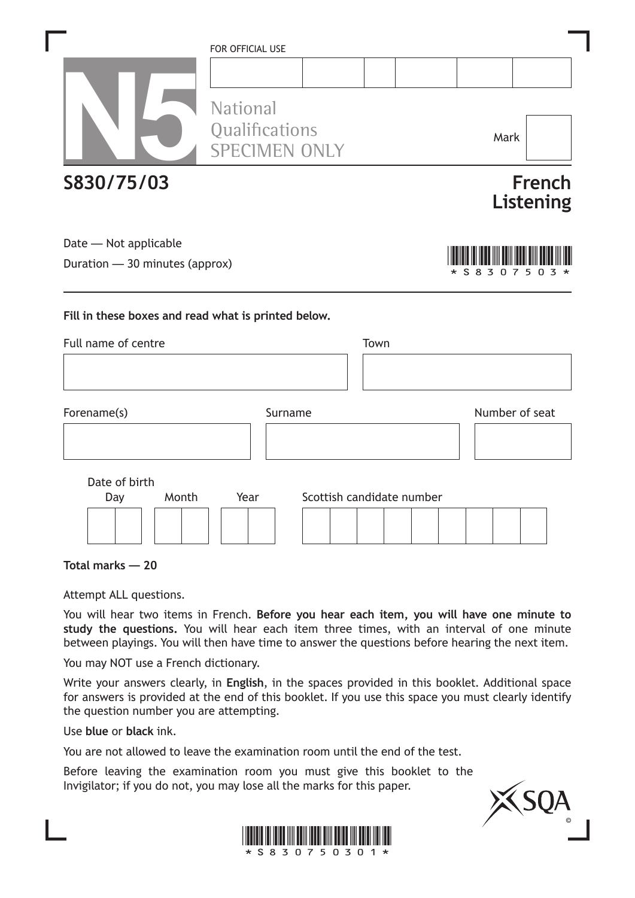|                                                         | FOR OFFICIAL USE<br><b>National</b>    |         |      |                           |                 |                     |  |
|---------------------------------------------------------|----------------------------------------|---------|------|---------------------------|-----------------|---------------------|--|
|                                                         | Qualifications<br><b>SPECIMEN ONLY</b> |         |      |                           | Mark            |                     |  |
| S830/75/03                                              |                                        |         |      |                           |                 | French<br>Listening |  |
| Date - Not applicable<br>Duration - 30 minutes (approx) |                                        |         |      |                           | $*$ S 8 3 0 7 5 | $\Omega$            |  |
| Fill in these boxes and read what is printed below.     |                                        |         |      |                           |                 |                     |  |
| Full name of centre                                     |                                        |         | Town |                           |                 |                     |  |
|                                                         |                                        |         |      |                           |                 |                     |  |
| Forename(s)                                             |                                        | Surname |      |                           | Number of seat  |                     |  |
|                                                         |                                        |         |      |                           |                 |                     |  |
| Date of birth                                           |                                        |         |      |                           |                 |                     |  |
| Month<br>Day                                            | Year                                   |         |      | Scottish candidate number |                 |                     |  |
|                                                         |                                        |         |      |                           |                 |                     |  |
| Total marks - 20                                        |                                        |         |      |                           |                 |                     |  |

Attempt ALL questions.

You will hear two items in French. **Before you hear each item, you will have one minute to study the questions.** You will hear each item three times, with an interval of one minute between playings. You will then have time to answer the questions before hearing the next item.

You may NOT use a French dictionary.

Write your answers clearly, in **English**, in the spaces provided in this booklet. Additional space for answers is provided at the end of this booklet. If you use this space you must clearly identify the question number you are attempting.

Use **blue** or **black** ink.

You are not allowed to leave the examination room until the end of the test.

Before leaving the examination room you must give this booklet to the Invigilator; if you do not, you may lose all the marks for this paper.



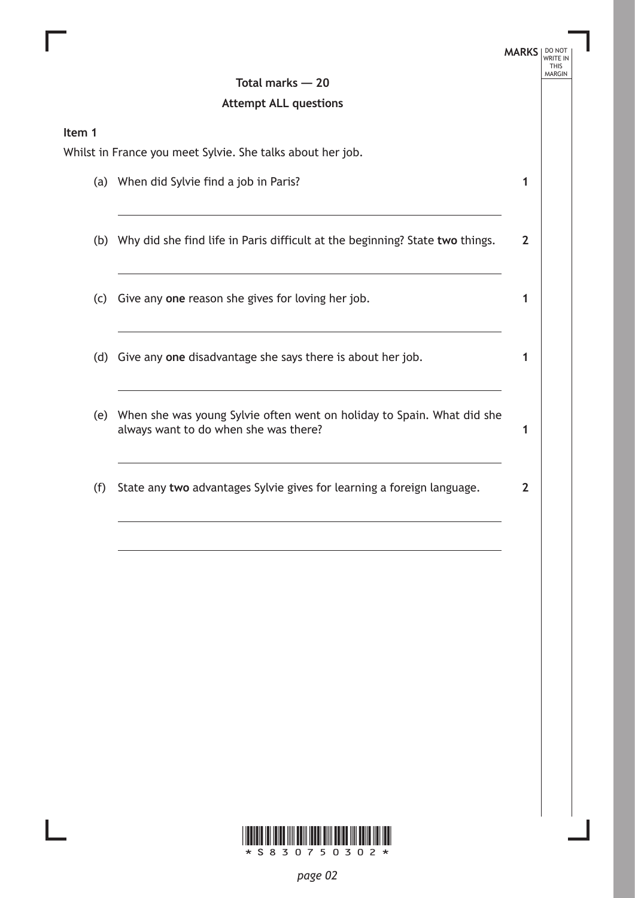|        |                                                                                                                 | <b>MARKS</b>   | DO NOT<br>WRITE IN<br>тнік |
|--------|-----------------------------------------------------------------------------------------------------------------|----------------|----------------------------|
|        | Total marks - 20                                                                                                |                | <b>MARGIN</b>              |
|        | <b>Attempt ALL questions</b>                                                                                    |                |                            |
| Item 1 |                                                                                                                 |                |                            |
|        | Whilst in France you meet Sylvie. She talks about her job.                                                      |                |                            |
|        | (a) When did Sylvie find a job in Paris?                                                                        | 1              |                            |
|        | (b) Why did she find life in Paris difficult at the beginning? State two things.                                | $\mathbf{2}$   |                            |
| (c)    | Give any one reason she gives for loving her job.                                                               | 1              |                            |
|        | (d) Give any one disadvantage she says there is about her job.                                                  | 1              |                            |
| (e)    | When she was young Sylvie often went on holiday to Spain. What did she<br>always want to do when she was there? | 1              |                            |
| (f)    | State any two advantages Sylvie gives for learning a foreign language.                                          | $\overline{2}$ |                            |
|        |                                                                                                                 |                |                            |

Ш

I.

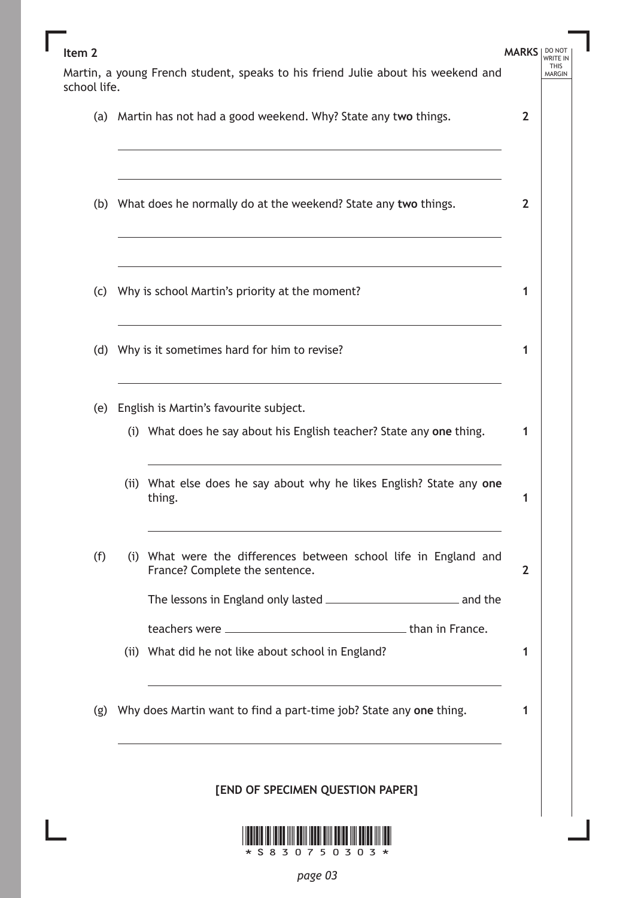| Item <sub>2</sub><br>school life. |                                                                                                                    | Martin, a young French student, speaks to his friend Julie about his weekend and                   | <b>MARKS</b>   | DO NOT<br><b>WRITE IN</b><br><b>THIS</b><br><b>MARGIN</b> |
|-----------------------------------|--------------------------------------------------------------------------------------------------------------------|----------------------------------------------------------------------------------------------------|----------------|-----------------------------------------------------------|
|                                   | (a) Martin has not had a good weekend. Why? State any two things.                                                  |                                                                                                    |                |                                                           |
|                                   | (b) What does he normally do at the weekend? State any two things.                                                 |                                                                                                    |                |                                                           |
| (c)                               | Why is school Martin's priority at the moment?                                                                     |                                                                                                    |                |                                                           |
|                                   | (d) Why is it sometimes hard for him to revise?                                                                    |                                                                                                    |                |                                                           |
|                                   | (e) English is Martin's favourite subject.<br>(i) What does he say about his English teacher? State any one thing. |                                                                                                    |                |                                                           |
|                                   |                                                                                                                    | (ii) What else does he say about why he likes English? State any one<br>thing.                     | 1              |                                                           |
| (f)                               |                                                                                                                    | (i) What were the differences between school life in England and<br>France? Complete the sentence. | $\overline{2}$ |                                                           |
|                                   |                                                                                                                    | (ii) What did he not like about school in England?                                                 | 1              |                                                           |
| (g)                               | Why does Martin want to find a part-time job? State any one thing.                                                 |                                                                                                    | 1              |                                                           |
|                                   |                                                                                                                    | [END OF SPECIMEN QUESTION PAPER]                                                                   |                |                                                           |
|                                   |                                                                                                                    |                                                                                                    |                |                                                           |



L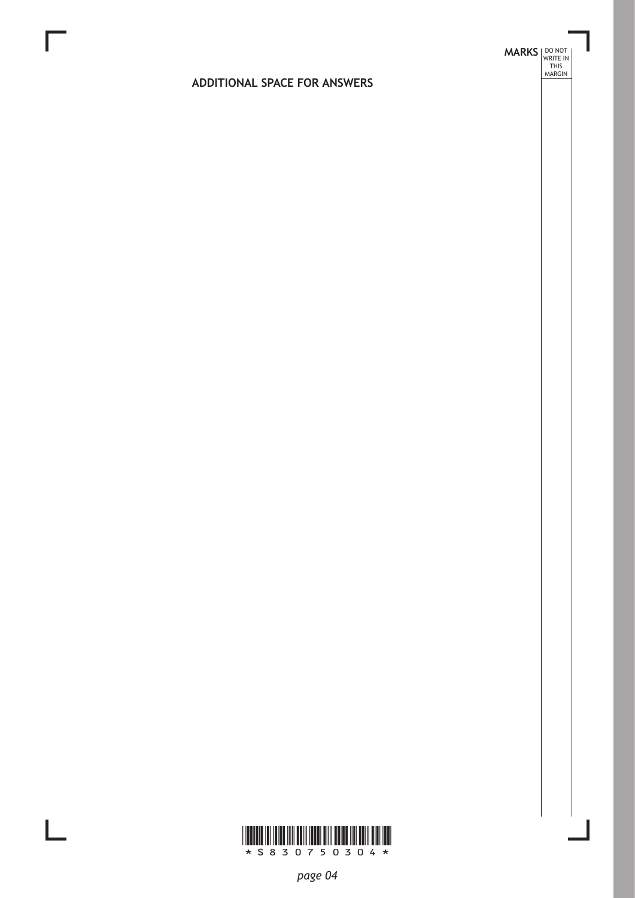# **MARKS DO NOT
WRITE IN** <br>
THIS
MARGIN

#### **ADDITIONAL SPACE FOR ANSWERS**



 $\mathbb{R}^{\mathbb{Z}}$ 

*page 04*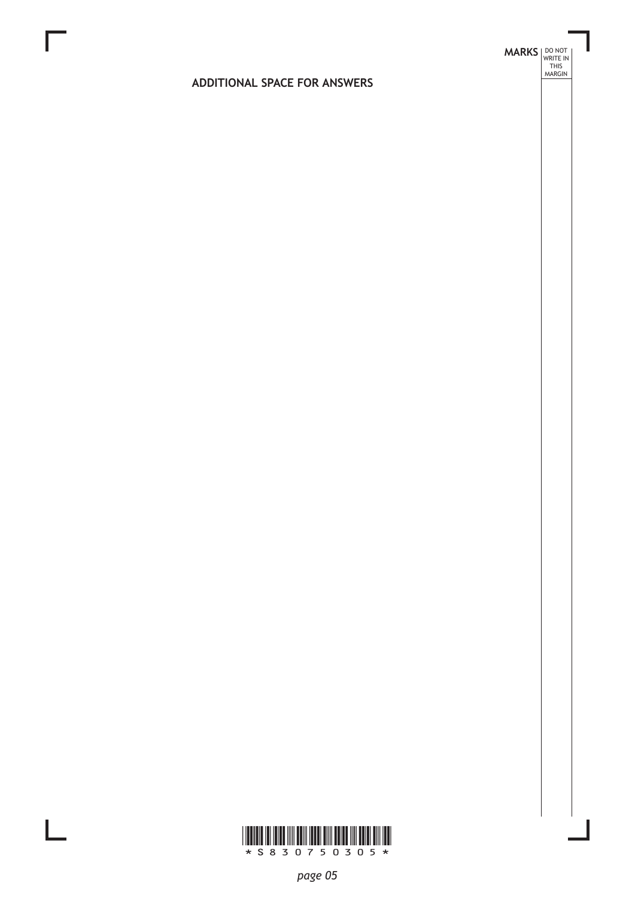## **MARKS DO NOT
WRITE IN** <br>
THIS
MARGIN

#### **ADDITIONAL SPACE FOR ANSWERS**



 $\mathbb{R}^{\mathbb{Z}}$ 

*page 05*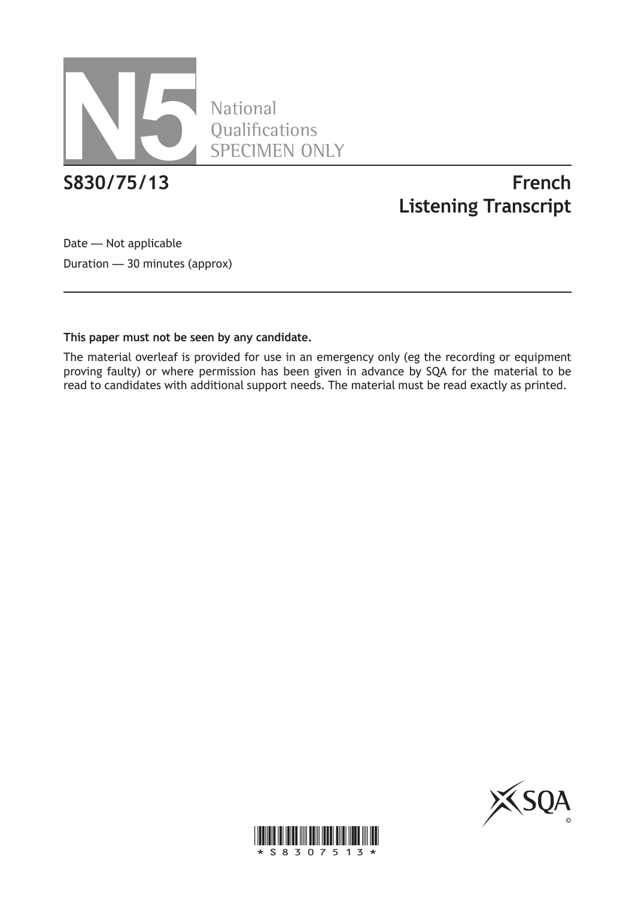

**National** Qualifications SPECIMEN ONLY

## **S830/75/13 French Listening Transcript**

Date — Not applicable Duration — 30 minutes (approx)

#### **This paper must not be seen by any candidate.**

The material overleaf is provided for use in an emergency only (eg the recording or equipment proving faulty) or where permission has been given in advance by SQA for the material to be read to candidates with additional support needs. The material must be read exactly as printed.



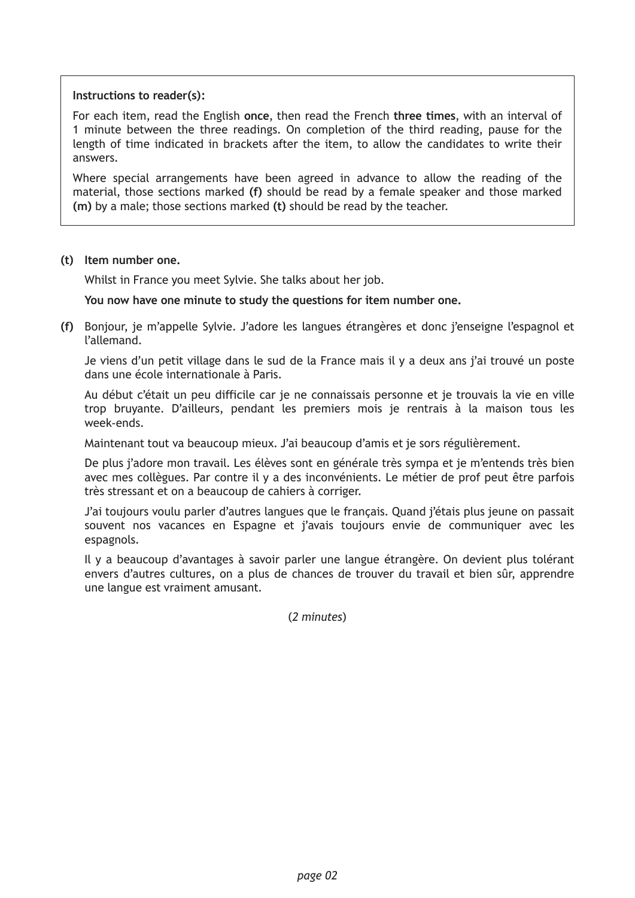#### **Instructions to reader(s):**

For each item, read the English **once**, then read the French **three times**, with an interval of 1 minute between the three readings. On completion of the third reading, pause for the length of time indicated in brackets after the item, to allow the candidates to write their answers.

Where special arrangements have been agreed in advance to allow the reading of the material, those sections marked **(f)** should be read by a female speaker and those marked **(m)** by a male; those sections marked **(t)** should be read by the teacher.

#### **(t) Item number one.**

Whilst in France you meet Sylvie. She talks about her job.

#### **You now have one minute to study the questions for item number one.**

**(f)** Bonjour, je m'appelle Sylvie. J'adore les langues étrangères et donc j'enseigne l'espagnol et l'allemand.

Je viens d'un petit village dans le sud de la France mais il y a deux ans j'ai trouvé un poste dans une école internationale à Paris.

Au début c'était un peu difficile car je ne connaissais personne et je trouvais la vie en ville trop bruyante. D'ailleurs, pendant les premiers mois je rentrais à la maison tous les week-ends.

Maintenant tout va beaucoup mieux. J'ai beaucoup d'amis et je sors régulièrement.

De plus j'adore mon travail. Les élèves sont en générale très sympa et je m'entends très bien avec mes collègues. Par contre il y a des inconvénients. Le métier de prof peut être parfois très stressant et on a beaucoup de cahiers à corriger.

J'ai toujours voulu parler d'autres langues que le français. Quand j'étais plus jeune on passait souvent nos vacances en Espagne et j'avais toujours envie de communiquer avec les espagnols.

Il y a beaucoup d'avantages à savoir parler une langue étrangère. On devient plus tolérant envers d'autres cultures, on a plus de chances de trouver du travail et bien sûr, apprendre une langue est vraiment amusant.

(*2 minutes*)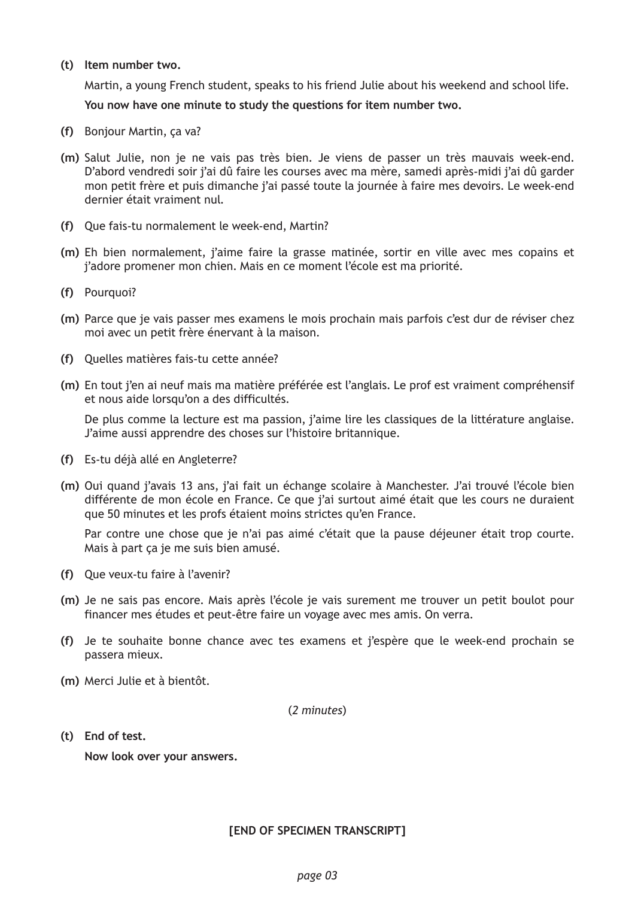**(t) Item number two.**

Martin, a young French student, speaks to his friend Julie about his weekend and school life. **You now have one minute to study the questions for item number two.**

- **(f)** Bonjour Martin, ça va?
- **(m)** Salut Julie, non je ne vais pas très bien. Je viens de passer un très mauvais week-end. D'abord vendredi soir j'ai dû faire les courses avec ma mère, samedi après-midi j'ai dû garder mon petit frère et puis dimanche j'ai passé toute la journée à faire mes devoirs. Le week-end dernier était vraiment nul.
- **(f)** Que fais-tu normalement le week-end, Martin?
- **(m)** Eh bien normalement, j'aime faire la grasse matinée, sortir en ville avec mes copains et j'adore promener mon chien. Mais en ce moment l'école est ma priorité.
- **(f)** Pourquoi?
- **(m)** Parce que je vais passer mes examens le mois prochain mais parfois c'est dur de réviser chez moi avec un petit frère énervant à la maison.
- **(f)** Quelles matières fais-tu cette année?
- **(m)** En tout j'en ai neuf mais ma matière préférée est l'anglais. Le prof est vraiment compréhensif et nous aide lorsqu'on a des difficultés.

De plus comme la lecture est ma passion, j'aime lire les classiques de la littérature anglaise. J'aime aussi apprendre des choses sur l'histoire britannique.

- **(f)** Es-tu déjà allé en Angleterre?
- **(m)** Oui quand j'avais 13 ans, j'ai fait un échange scolaire à Manchester. J'ai trouvé l'école bien différente de mon école en France. Ce que j'ai surtout aimé était que les cours ne duraient que 50 minutes et les profs étaient moins strictes qu'en France.

Par contre une chose que je n'ai pas aimé c'était que la pause déjeuner était trop courte. Mais à part ça je me suis bien amusé.

- **(f)** Que veux-tu faire à l'avenir?
- **(m)** Je ne sais pas encore. Mais après l'école je vais surement me trouver un petit boulot pour financer mes études et peut-être faire un voyage avec mes amis. On verra.
- **(f)** Je te souhaite bonne chance avec tes examens et j'espère que le week-end prochain se passera mieux.
- **(m)** Merci Julie et à bientôt.

(*2 minutes*)

**(t) End of test. Now look over your answers.**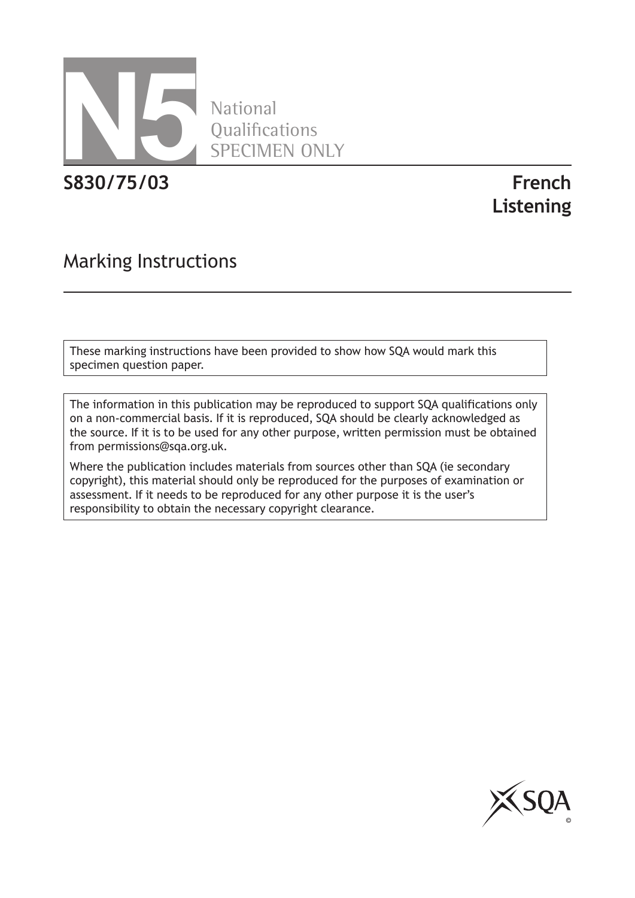

National **Oualifications** SPECIMEN ONLY

**S830/75/03 French**

# **Listening**

### Marking Instructions

These marking instructions have been provided to show how SQA would mark this specimen question paper.

The information in this publication may be reproduced to support SQA qualifications only on a non-commercial basis. If it is reproduced, SQA should be clearly acknowledged as the source. If it is to be used for any other purpose, written permission must be obtained from permissions@sqa.org.uk.

Where the publication includes materials from sources other than SQA (ie secondary copyright), this material should only be reproduced for the purposes of examination or assessment. If it needs to be reproduced for any other purpose it is the user's responsibility to obtain the necessary copyright clearance.

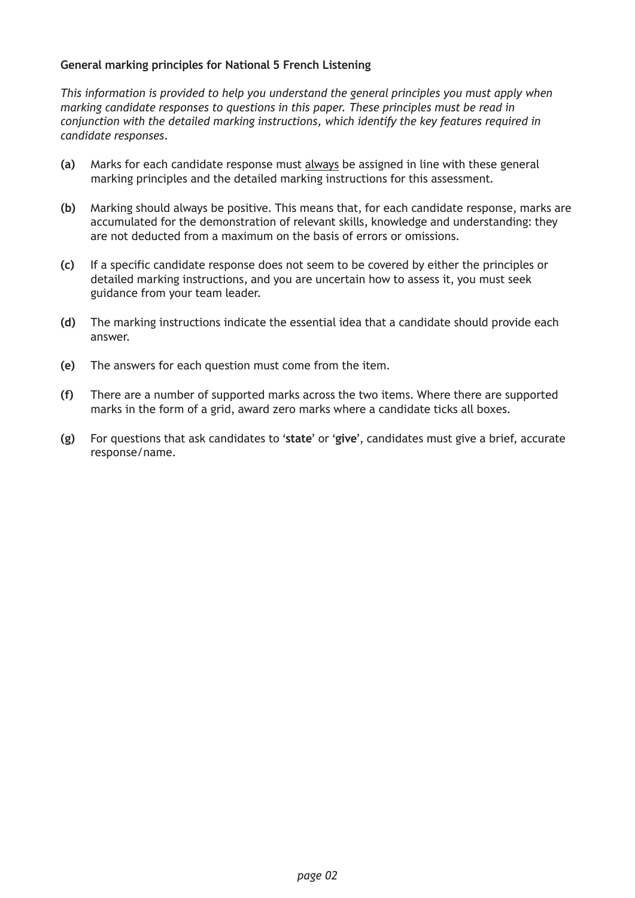#### **General marking principles for National 5 French Listening**

*This information is provided to help you understand the general principles you must apply when marking candidate responses to questions in this paper. These principles must be read in conjunction with the detailed marking instructions, which identify the key features required in candidate responses.*

- **(a)** Marks for each candidate response must always be assigned in line with these general marking principles and the detailed marking instructions for this assessment.
- **(b)** Marking should always be positive. This means that, for each candidate response, marks are accumulated for the demonstration of relevant skills, knowledge and understanding: they are not deducted from a maximum on the basis of errors or omissions.
- **(c)** If a specific candidate response does not seem to be covered by either the principles or detailed marking instructions, and you are uncertain how to assess it, you must seek guidance from your team leader.
- **(d)** The marking instructions indicate the essential idea that a candidate should provide each answer.
- **(e)** The answers for each question must come from the item.
- **(f)** There are a number of supported marks across the two items. Where there are supported marks in the form of a grid, award zero marks where a candidate ticks all boxes.
- **(g)** For questions that ask candidates to '**state**' or '**give**', candidates must give a brief, accurate response/name.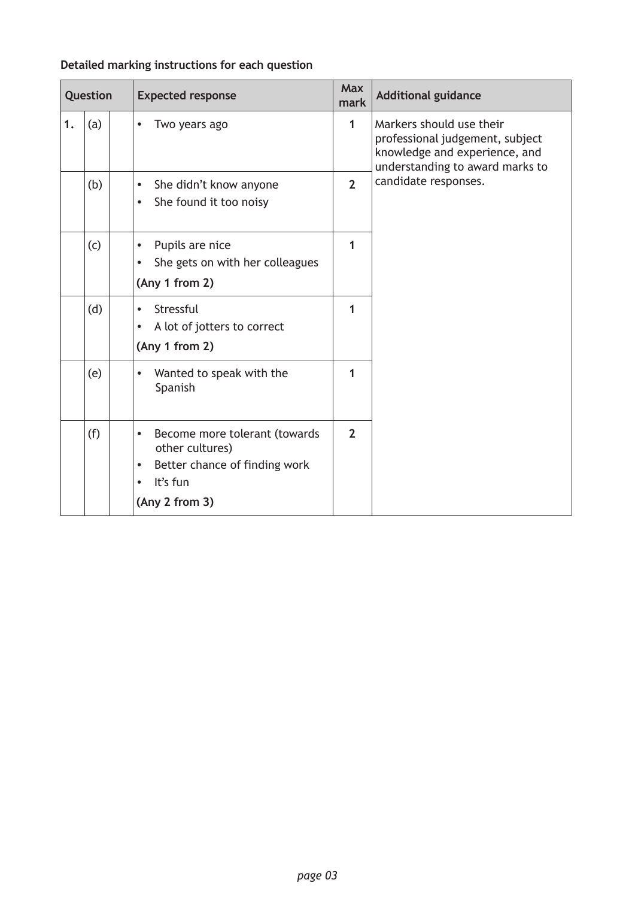#### **Detailed marking instructions for each question**

| Question |     | <b>Expected response</b>                                                                                                                               |                | <b>Additional guidance</b>                                                                                                      |
|----------|-----|--------------------------------------------------------------------------------------------------------------------------------------------------------|----------------|---------------------------------------------------------------------------------------------------------------------------------|
| 1.       | (a) | Two years ago<br>$\bullet$                                                                                                                             | 1              | Markers should use their<br>professional judgement, subject<br>knowledge and experience, and<br>understanding to award marks to |
|          | (b) | She didn't know anyone<br>$\bullet$<br>She found it too noisy<br>$\bullet$                                                                             | $\overline{2}$ | candidate responses.                                                                                                            |
|          | (c) | Pupils are nice<br>$\bullet$<br>She gets on with her colleagues<br>$\bullet$<br>(Any 1 from 2)                                                         | 1              |                                                                                                                                 |
|          | (d) | Stressful<br>$\bullet$<br>A lot of jotters to correct<br>$\bullet$<br>(Any 1 from 2)                                                                   | 1              |                                                                                                                                 |
|          | (e) | Wanted to speak with the<br>$\bullet$<br>Spanish                                                                                                       | 1              |                                                                                                                                 |
|          | (f) | Become more tolerant (towards<br>$\bullet$<br>other cultures)<br>Better chance of finding work<br>$\bullet$<br>It's fun<br>$\bullet$<br>(Any 2 from 3) | $\overline{2}$ |                                                                                                                                 |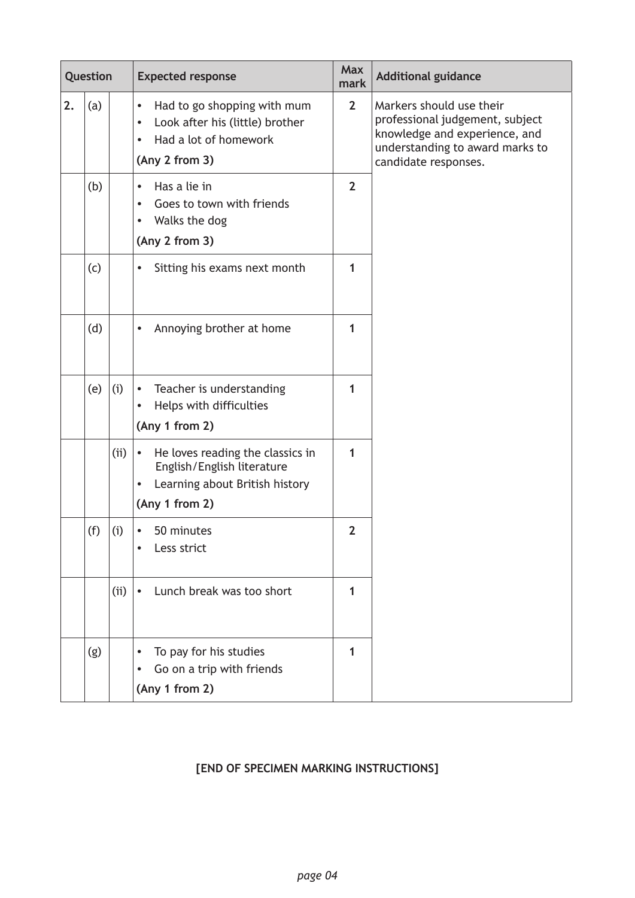| Question |     |     | <b>Expected response</b>                                                                                                                         |                | <b>Additional guidance</b>                                                                                                                              |  |  |
|----------|-----|-----|--------------------------------------------------------------------------------------------------------------------------------------------------|----------------|---------------------------------------------------------------------------------------------------------------------------------------------------------|--|--|
| 2.       | (a) |     | Had to go shopping with mum<br>$\bullet$<br>Look after his (little) brother<br>$\bullet$<br>Had a lot of homework<br>$\bullet$<br>(Any 2 from 3) | $\overline{2}$ | Markers should use their<br>professional judgement, subject<br>knowledge and experience, and<br>understanding to award marks to<br>candidate responses. |  |  |
|          | (b) |     | Has a lie in<br>$\bullet$<br>Goes to town with friends<br>$\bullet$<br>Walks the dog<br>$\bullet$<br>(Any 2 from 3)                              | $\overline{2}$ |                                                                                                                                                         |  |  |
|          | (c) |     | Sitting his exams next month<br>$\bullet$                                                                                                        | 1              |                                                                                                                                                         |  |  |
|          | (d) |     | Annoying brother at home<br>$\bullet$                                                                                                            | 1              |                                                                                                                                                         |  |  |
|          | (e) | (i) | Teacher is understanding<br>$\bullet$<br>Helps with difficulties<br>$\bullet$<br>(Any 1 from 2)                                                  | 1              |                                                                                                                                                         |  |  |
|          |     | (i) | He loves reading the classics in<br>$\bullet$<br>English/English literature<br>Learning about British history<br>$\bullet$<br>(Any 1 from 2)     | 1              |                                                                                                                                                         |  |  |
|          | (f) | (i) | 50 minutes<br>Less strict<br>$\bullet$                                                                                                           | $\overline{2}$ |                                                                                                                                                         |  |  |
|          |     | (i) | Lunch break was too short<br>$\bullet$                                                                                                           | 1              |                                                                                                                                                         |  |  |
|          | (g) |     | To pay for his studies<br>$\bullet$<br>Go on a trip with friends<br>$\bullet$<br>(Any 1 from 2)                                                  | 1              |                                                                                                                                                         |  |  |

#### **[END OF SPECIMEN MARKING INSTRUCTIONS]**